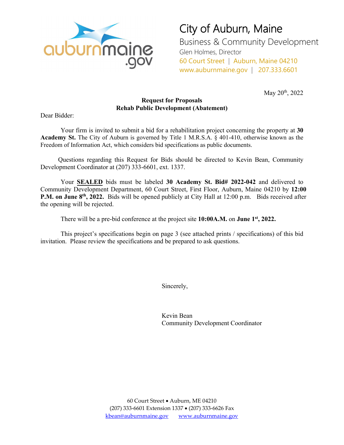

## City of Auburn, Maine Business & Community Development

Glen Holmes, Director 60 Court Street | Auburn, Maine 04210 www.auburnmaine.gov | 207.333.6601

May 20<sup>th</sup>, 2022

### **Request for Proposals Rehab Public Development (Abatement)**

Dear Bidder:

Your firm is invited to submit a bid for a rehabilitation project concerning the property at **30 Academy St.** The City of Auburn is governed by Title 1 M.R.S.A. § 401-410, otherwise known as the Freedom of Information Act, which considers bid specifications as public documents.

Questions regarding this Request for Bids should be directed to Kevin Bean, Community Development Coordinator at (207) 333-6601, ext. 1337.

Your **SEALED** bids must be labeled **30 Academy St. Bid# 2022-042** and delivered to Community Development Department, 60 Court Street, First Floor, Auburn, Maine 04210 by **12:00 P.M. on June 8th, 2022.** Bids will be opened publicly at City Hall at 12:00 p.m. Bids received after the opening will be rejected.

There will be a pre-bid conference at the project site **10:00A.M.** on **June 1st, 2022.** 

This project's specifications begin on page 3 (see attached prints / specifications) of this bid invitation. Please review the specifications and be prepared to ask questions.

Sincerely,

Kevin Bean Community Development Coordinator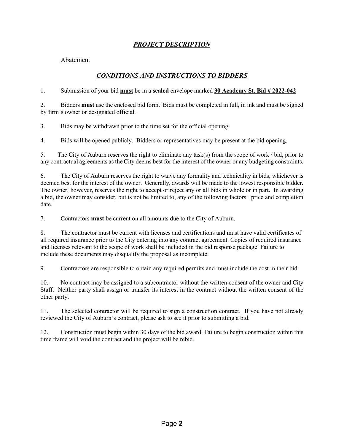## *PROJECT DESCRIPTION*

Abatement

## *CONDITIONS AND INSTRUCTIONS TO BIDDERS*

1. Submission of your bid **must** be in a **sealed** envelope marked **30 Academy St. Bid # 2022-042**

2. Bidders **must** use the enclosed bid form. Bids must be completed in full, in ink and must be signed by firm's owner or designated official.

3. Bids may be withdrawn prior to the time set for the official opening.

4. Bids will be opened publicly. Bidders or representatives may be present at the bid opening.

5. The City of Auburn reserves the right to eliminate any task(s) from the scope of work / bid, prior to any contractual agreements as the City deems best for the interest of the owner or any budgeting constraints.

6. The City of Auburn reserves the right to waive any formality and technicality in bids, whichever is deemed best for the interest of the owner. Generally, awards will be made to the lowest responsible bidder. The owner, however, reserves the right to accept or reject any or all bids in whole or in part. In awarding a bid, the owner may consider, but is not be limited to, any of the following factors: price and completion date.

7. Contractors **must** be current on all amounts due to the City of Auburn.

8. The contractor must be current with licenses and certifications and must have valid certificates of all required insurance prior to the City entering into any contract agreement. Copies of required insurance and licenses relevant to the scope of work shall be included in the bid response package. Failure to include these documents may disqualify the proposal as incomplete.

9. Contractors are responsible to obtain any required permits and must include the cost in their bid.

10. No contract may be assigned to a subcontractor without the written consent of the owner and City Staff. Neither party shall assign or transfer its interest in the contract without the written consent of the other party.

11. The selected contractor will be required to sign a construction contract. If you have not already reviewed the City of Auburn's contract, please ask to see it prior to submitting a bid.

12. Construction must begin within 30 days of the bid award. Failure to begin construction within this time frame will void the contract and the project will be rebid.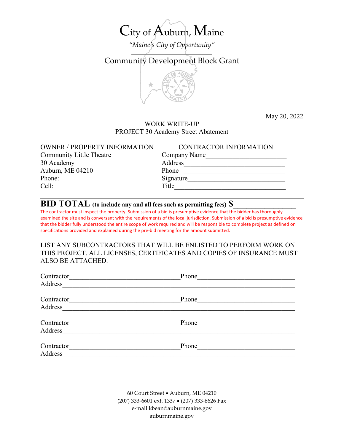# City of Auburn, Maine

*"Maine's City of Opportunity"*  $\overline{\phantom{a}}$ 

Community Development Block Grant



May 20, 2022

#### WORK WRITE-UP PROJECT 30 Academy Street Abatement

| <b>OWNER / PROPERTY INFORMATION</b> | CONTRACTOR INFORMATION |
|-------------------------------------|------------------------|
| <b>Community Little Theatre</b>     | Company Name           |
| 30 Academy                          | Address                |
| Auburn, ME 04210                    | Phone                  |
| Phone:                              | Signature              |
| Cell:                               | Title                  |
|                                     |                        |

## **BID TOTAL (to include any and all fees such as permitting fees) \$\_\_\_\_\_\_\_\_\_\_\_\_\_\_**

The contractor must inspect the property. Submission of a bid is presumptive evidence that the bidder has thoroughly examined the site and is conversant with the requirements of the local jurisdiction. Submission of a bid is presumptive evidence that the bidder fully understood the entire scope of work required and will be responsible to complete project as defined on specifications provided and explained during the pre-bid meeting for the amount submitted.

LIST ANY SUBCONTRACTORS THAT WILL BE ENLISTED TO PERFORM WORK ON THIS PROJECT. ALL LICENSES, CERTIFICATES AND COPIES OF INSURANCE MUST ALSO BE ATTACHED.

| Contractor | Phone |  |
|------------|-------|--|
| Address    |       |  |
| Contractor | Phone |  |
| Address    |       |  |
| Contractor | Phone |  |
| Address    |       |  |
| Contractor | Phone |  |
| Address    |       |  |

60 Court Street • Auburn, ME 04210 (207) 333-6601 ext. 1337 • (207) 333-6626 Fax e-mail kbean@auburnmaine.gov auburnmaine.gov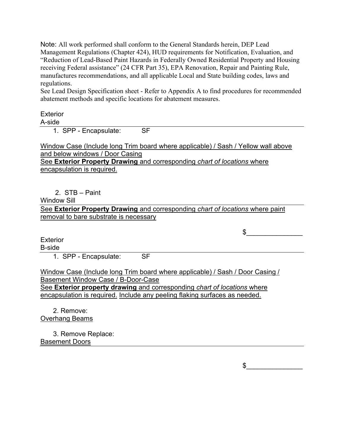Note: All work performed shall conform to the General Standards herein, DEP Lead Management Regulations (Chapter 424), HUD requirements for Notification, Evaluation, and "Reduction of Lead-Based Paint Hazards in Federally Owned Residential Property and Housing receiving Federal assistance" (24 CFR Part 35), EPA Renovation, Repair and Painting Rule, manufactures recommendations, and all applicable Local and State building codes, laws and regulations.

See Lead Design Specification sheet - Refer to Appendix A to find procedures for recommended abatement methods and specific locations for abatement measures.

## **Exterior**

A-side

1. SPP - Encapsulate: SF

Window Case (Include long Trim board where applicable) / Sash / Yellow wall above and below windows / Door Casing See **Exterior Property Drawing** and corresponding *chart of locations* where encapsulation is required.

2. STB – Paint

Window Sill

See **Exterior Property Drawing** and corresponding *chart of locations* where paint removal to bare substrate is necessary

**Exterior** 

B-side

1. SPP - Encapsulate: SF

Window Case (Include long Trim board where applicable) / Sash / Door Casing / Basement Window Case / B-Door-Case See **Exterior property drawing** and corresponding *chart of locations* where encapsulation is required. Include any peeling flaking surfaces as needed.

2. Remove: Overhang Beams

3. Remove Replace: Basement Doors

 $\frac{1}{2}$ 

 $\mathfrak s$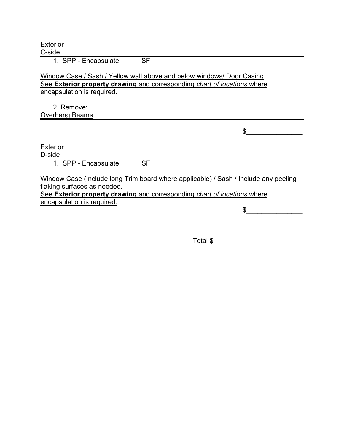**Exterior** C-side

1. SPP - Encapsulate: SF

#### Window Case / Sash / Yellow wall above and below windows/ Door Casing See **Exterior property drawing** and corresponding *chart of locations* where encapsulation is required.

2. Remove: Overhang Beams

**Exterior** 

D-side

1. SPP - Encapsulate: SF

Window Case (Include long Trim board where applicable) / Sash / Include any peeling flaking surfaces as needed.

See **Exterior property drawing** and corresponding *chart of locations* where encapsulation is required.

 $\mathfrak s$ 

 $\frac{1}{2}$ 

 $\text{Total } \$$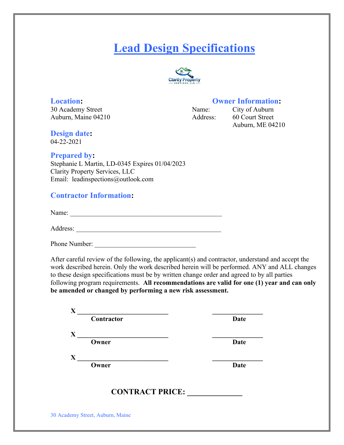## **Lead Design Specifications**



30 Academy Street Name: City of Auburn Auburn, Maine 04210 <br>Address: 60 Court Street

### **Location: Owner Information:**

Auburn, ME 04210

**Design date:** 04-22-2021

### **Prepared by:**

Stephanie L Martin, LD-0345 Expires 01/04/2023 Clarity Property Services, LLC Email: leadinspections@outlook.com

## **Contractor Information:**

Name: \_\_\_\_\_\_\_\_\_\_\_\_\_\_\_\_\_\_\_\_\_\_\_\_\_\_\_\_\_\_\_\_\_\_\_\_\_\_\_\_\_\_\_\_\_

Address: \_\_\_\_\_\_\_\_\_\_\_\_\_\_\_\_\_\_\_\_\_\_\_\_\_\_\_\_\_\_\_\_\_\_\_\_\_\_\_\_\_\_\_

Phone Number: \_\_\_\_\_\_\_\_\_\_\_\_\_\_\_\_\_\_\_\_\_\_\_\_\_\_\_\_\_\_

After careful review of the following, the applicant(s) and contractor, understand and accept the work described herein. Only the work described herein will be performed. ANY and ALL changes to these design specifications must be by written change order and agreed to by all parties following program requirements. **All recommendations are valid for one (1) year and can only be amended or changed by performing a new risk assessment.**

| Contractor             | <b>Date</b> |
|------------------------|-------------|
| Owner                  | <b>Date</b> |
| Owner                  | <b>Date</b> |
| <b>CONTRACT PRICE:</b> |             |

30 Academy Street, Auburn, Maine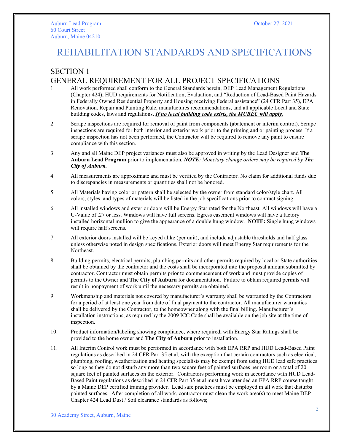## REHABILITATION STANDARDS AND SPECIFICATIONS

## SECTION 1 – GENERAL REQUIREMENT FOR ALL PROJECT SPECIFICATIONS

- 1. All work performed shall conform to the General Standards herein, DEP Lead Management Regulations (Chapter 424), HUD requirements for Notification, Evaluation, and "Reduction of Lead-Based Paint Hazards in Federally Owned Residential Property and Housing receiving Federal assistance" (24 CFR Part 35), EPA Renovation, Repair and Painting Rule, manufactures recommendations, and all applicable Local and State building codes, laws and regulations. *If no local building code exists, the MUBEC will apply.*
- 2. Scrape inspections are required for removal of paint from components (abatement or interim control). Scrape inspections are required for both interior and exterior work prior to the priming and or painting process. If a scrape inspection has not been performed, the Contractor will be required to remove any paint to ensure compliance with this section.
- 3. Any and all Maine DEP project variances must also be approved in writing by the Lead Designer and **The Auburn Lead Program** prior to implementation. *NOTE: Monetary change orders may be required by The City of Auburn.*
- 4. All measurements are approximate and must be verified by the Contractor. No claim for additional funds due to discrepancies in measurements or quantities shall not be honored.
- 5. All Materials having color or pattern shall be selected by the owner from standard color/style chart. All colors, styles, and types of materials will be listed in the job specifications prior to contract signing.
- 6. All installed windows and exterior doors will be Energy Star rated for the Northeast. All windows will have a U-Value of .27 or less. Windows will have full screens. Egress casement windows will have a factory installed horizontal mullion to give the appearance of a double hung window. **NOTE:** Single hung windows will require half screens.
- 7. All exterior doors installed will be keyed alike (per unit), and include adjustable thresholds and half glass unless otherwise noted in design specifications. Exterior doors will meet Energy Star requirements for the Northeast.
- 8. Building permits, electrical permits, plumbing permits and other permits required by local or State authorities shall be obtained by the contractor and the costs shall be incorporated into the proposal amount submitted by contractor. Contractor must obtain permits prior to commencement of work and must provide copies of permits to the Owner and **The City of Auburn** for documentation. Failure to obtain required permits will result in nonpayment of work until the necessary permits are obtained.
- 9. Workmanship and materials not covered by manufacturer's warranty shall be warranted by the Contractors for a period of at least one year from date of final payment to the contractor. All manufacturer warranties shall be delivered by the Contractor, to the homeowner along with the final billing. Manufacturer's installation instructions, as required by the 2009 ICC Code shall be available on the job site at the time of inspection.
- 10. Product information/labeling showing compliance, where required, with Energy Star Ratings shall be provided to the home owner and **The City of Auburn** prior to installation.
- 11. All Interim Control work must be performed in accordance with both EPA RRP and HUD Lead-Based Paint regulations as described in 24 CFR Part 35 et al, with the exception that certain contractors such as electrical, plumbing, roofing, weatherization and heating specialists may be exempt from using HUD lead safe practices so long as they do not disturb any more than two square feet of painted surfaces per room or a total of 20 square feet of painted surfaces on the exterior. Contractors performing work in accordance with HUD Lead-Based Paint regulations as described in 24 CFR Part 35 et al must have attended an EPA RRP course taught by a Maine DEP certified training provider. Lead safe practices must be employed in all work that disturbs painted surfaces. After completion of all work, contractor must clean the work area(s) to meet Maine DEP Chapter 424 Lead Dust / Soil clearance standards as follows;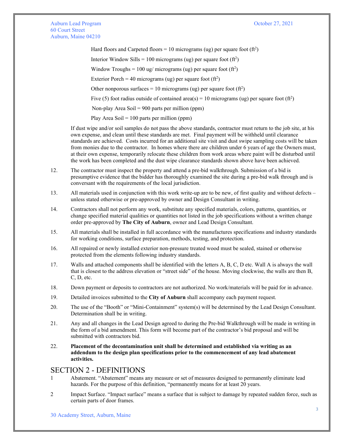Auburn Lead Program **Calculation** Controllering Controllering Controllering Controllering Controllering Controllering Controllering Controllering Controllering Controllering Controllering Controllering Controllering Contro 60 Court Street Auburn, Maine 04210

Hard floors and Carpeted floors = 10 micrograms (ug) per square foot (ft<sup>2</sup>)

Interior Window Sills = 100 micrograms (ug) per square foot  $(ft^2)$ 

Window Troughs = 100 ug/ micrograms (ug) per square foot  $(f<sup>2</sup>)$ 

Exterior Porch = 40 micrograms (ug) per square foot (ft<sup>2</sup>)

Other nonporous surfaces = 10 micrograms (ug) per square foot  $(f<sup>2</sup>)$ 

Five (5) foot radius outside of contained area(s) = 10 micrograms (ug) per square foot (ft<sup>2</sup>)

Non-play Area Soil = 900 parts per million (ppm)

Play Area Soil =  $100$  parts per million (ppm)

If dust wipe and/or soil samples do not pass the above standards, contractor must return to the job site, at his own expense, and clean until these standards are met. Final payment will be withheld until clearance standards are achieved. Costs incurred for an additional site visit and dust swipe sampling costs will be taken from monies due to the contractor. In homes where there are children under 6 years of age the Owners must, at their own expense, temporarily relocate these children from work areas where paint will be disturbed until the work has been completed and the dust wipe clearance standards shown above have been achieved.

- 12. The contractor must inspect the property and attend a pre-bid walkthrough. Submission of a bid is presumptive evidence that the bidder has thoroughly examined the site during a pre-bid walk through and is conversant with the requirements of the local jurisdiction.
- 13. All materials used in conjunction with this work write-up are to be new, of first quality and without defects unless stated otherwise or pre-approved by owner and Design Consultant in writing.
- 14. Contractors shall not perform any work, substitute any specified materials, colors, patterns, quantities, or change specified material qualities or quantities not listed in the job specifications without a written change order pre-approved by **The City of Auburn**, owner and Lead Design Consultant.
- 15. All materials shall be installed in full accordance with the manufactures specifications and industry standards for working conditions, surface preparation, methods, testing, and protection.
- 16. All repaired or newly installed exterior non-pressure treated wood must be sealed, stained or otherwise protected from the elements following industry standards.
- 17. Walls and attached components shall be identified with the letters A, B, C, D etc. Wall A is always the wall that is closest to the address elevation or "street side" of the house. Moving clockwise, the walls are then B, C, D, etc.
- 18. Down payment or deposits to contractors are not authorized. No work/materials will be paid for in advance.
- 19. Detailed invoices submitted to the **City of Auburn** shall accompany each payment request.
- 20. The use of the "Booth" or "Mini-Containment" system(s) will be determined by the Lead Design Consultant. Determination shall be in writing.
- 21. Any and all changes in the Lead Design agreed to during the Pre-bid Walkthrough will be made in writing in the form of a bid amendment. This form will become part of the contractor's bid proposal and will be submitted with contractors bid.
- 22. **Placement of the decontamination unit shall be determined and established via writing as an addendum to the design plan specifications prior to the commencement of any lead abatement activities.**

#### SECTION 2 - DEFINITIONS

- 1 Abatement. "Abatement" means any measure or set of measures designed to permanently eliminate lead hazards. For the purpose of this definition, "permanently means for at least 20 years.
- 2 Impact Surface. "Impact surface" means a surface that is subject to damage by repeated sudden force, such as certain parts of door frames.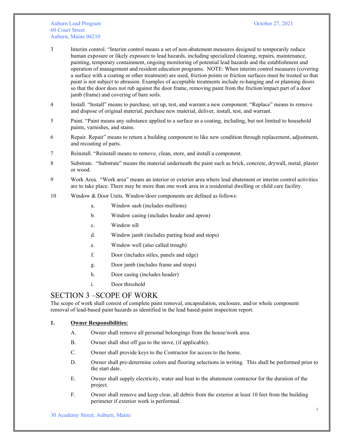#### Auburn Lead Program **Calculation** Controllering Controllering Controllering Controllering Controllering Controllering Controllering Controllering Controllering Controllering Controllering Controllering Controllering Contro 60 Court Street Auburn, Maine 04210

- 3 Interim control. "Interim control means a set of non-abatement measures designed to temporarily reduce human exposure or likely exposure to lead hazards, including specialized cleaning, repairs, maintenance, painting, temporary containment, ongoing monitoring of potential lead hazards and the establishment and operation of management and resident education programs. NOTE: When interim control measures (covering a surface with a coating or other treatment) are used, friction points or friction surfaces must be treated so that paint is not subject to abrasion. Examples of acceptable treatments include re-hanging and or planning doors so that the door does not rub against the door frame, removing paint from the friction/impact part of a door jamb (frame) and covering of bare soils.
- 4 Install. "Install" means to purchase, set up, test, and warrant a new component. "Replace" means to remove and dispose of original material, purchase new material, deliver, install, test, and warrant.
- 5 Paint. "Paint means any substance applied to a surface as a coating, including, but not limited to household paints, varnishes, and stains.
- 6 Repair. Repair" means to return a building component to like new condition through replacement, adjustment, and recoating of parts.
- 7 Reinstall. "Reinstall means to remove, clean, store, and install a component.
- 8 Substrate. "Substrate" means the material underneath the paint such as brick, concrete, drywall, metal, plaster or wood.
- 9 Work Area. "Work area" means an interior or exterior area where lead abatement or interim control activities are to take place. There may be more than one work area in a residential dwelling or child care facility.
- 10 Window & Door Units. Window/door components are defined as follows:
	- a. Window sash (includes mullions)
	- b. Window casing (includes header and apron)
	- c. Window sill
	- d. Window jamb (includes parting bead and stops)
	- e. Window well (also called trough)
	- f. Door (includes stiles, panels and edge)
	- g. Door jamb (includes frame and stops)
	- h. Door casing (includes header)
	- i. Door threshold

#### SECTION 3 –SCOPE OF WORK

The scope of work shall consist of complete paint removal, encapsulation, enclosure, and/or whole component removal of lead-based paint hazards as identified in the lead based-paint inspection report.

#### **1. Owner Responsibilities:**

- A. Owner shall remove all personal belongings from the house/work area.
- B. Owner shall shut off gas to the stove, (if applicable).
- C. Owner shall provide keys to the Contractor for access to the home.
- D. Owner shall pre-determine colors and flooring selections in writing. This shall be performed prior to the start date.
- E. Owner shall supply electricity, water and heat to the abatement contractor for the duration of the project.
- F. Owner shall remove and keep clear, all debris from the exterior at least 10 feet from the building perimeter if exterior work is performed.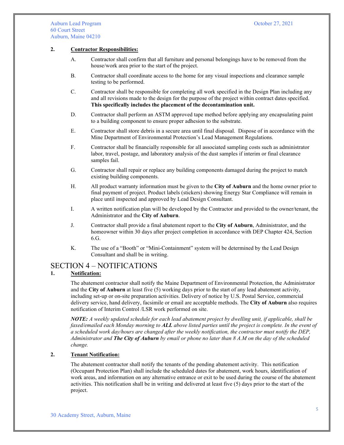#### **2. Contractor Responsibilities:**

- A. Contractor shall confirm that all furniture and personal belongings have to be removed from the house/work area prior to the start of the project.
- B. Contractor shall coordinate access to the home for any visual inspections and clearance sample testing to be performed.
- C. Contractor shall be responsible for completing all work specified in the Design Plan including any and all revisions made to the design for the purpose of the project within contract dates specified. **This specifically includes the placement of the decontamination unit.**
- D. Contractor shall perform an ASTM approved tape method before applying any encapsulating paint to a building component to ensure proper adhesion to the substrate.
- E. Contractor shall store debris in a secure area until final disposal. Dispose of in accordance with the Mine Department of Environmental Protection's Lead Management Regulations.
- F. Contractor shall be financially responsible for all associated sampling costs such as administrator labor, travel, postage, and laboratory analysis of the dust samples if interim or final clearance samples fail.
- G. Contractor shall repair or replace any building components damaged during the project to match existing building components.
- H. All product warranty information must be given to the **City of Auburn** and the home owner prior to final payment of project. Product labels (stickers) showing Energy Star Compliance will remain in place until inspected and approved by Lead Design Consultant.
- I. A written notification plan will be developed by the Contractor and provided to the owner/tenant, the Administrator and the **City of Auburn**.
- J. Contractor shall provide a final abatement report to the **City of Auburn**, Administrator, and the homeowner within 30 days after project completion in accordance with DEP Chapter 424, Section 6.G.
- K. The use of a "Booth" or "Mini-Containment" system will be determined by the Lead Design Consultant and shall be in writing.

#### SECTION 4 – NOTIFICATIONS

#### **1. Notification:**

The abatement contractor shall notify the Maine Department of Environmental Protection, the Administrator and the **City of Auburn** at least five (5) working days prior to the start of any lead abatement activity, including set-up or on-site preparation activities. Delivery of notice by U.S. Postal Service, commercial delivery service, hand delivery, facsimile or email are acceptable methods. The **City of Auburn** also requires notification of Interim Control /LSR work performed on site.

*NOTE: A weekly updated schedule for each lead abatement project by dwelling unit, if applicable, shall be faxed/emailed each Monday morning to ALL above listed parties until the project is complete. In the event of a scheduled work day/hours are changed after the weekly notification, the contractor must notify the DEP, Administrator and The City of Auburn by email or phone no later than 8 A.M on the day of the scheduled change.* 

#### **2. Tenant Notification:**

The abatement contractor shall notify the tenants of the pending abatement activity. This notification (Occupant Protection Plan) shall include the scheduled dates for abatement, work hours, identification of work areas, and information on any alternative entrance or exit to be used during the course of the abatement activities. This notification shall be in writing and delivered at least five (5) days prior to the start of the project.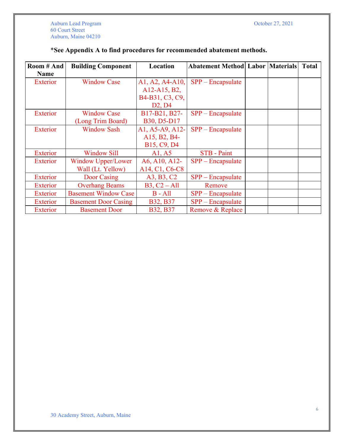| Room # And  | <b>Building Component</b>   | Location                                                          | <b>Abatement Method Labor Materials</b> |  | <b>Total</b> |
|-------------|-----------------------------|-------------------------------------------------------------------|-----------------------------------------|--|--------------|
| <b>Name</b> |                             |                                                                   |                                         |  |              |
| Exterior    | <b>Window Case</b>          | $A1, A2, A4-A10,$                                                 | $SPP - Encapsulate$                     |  |              |
|             |                             | A12-A15, B2,                                                      |                                         |  |              |
|             |                             | B4-B31, C3, C9,                                                   |                                         |  |              |
|             |                             | D2, D4                                                            |                                         |  |              |
| Exterior    | <b>Window Case</b>          | B17-B21, B27-                                                     | $SPP - Encapsulate$                     |  |              |
|             | (Long Trim Board)           | B30, D5-D17                                                       |                                         |  |              |
| Exterior    | <b>Window Sash</b>          | A1, A5-A9, A12-                                                   | $SPP - Encapsulate$                     |  |              |
|             |                             | A15, B2, B4-                                                      |                                         |  |              |
|             |                             | B15, C9, D4                                                       |                                         |  |              |
| Exterior    | <b>Window Sill</b>          | A1, A5                                                            | <b>STB</b> - Paint                      |  |              |
| Exterior    | <b>Window Upper/Lower</b>   | A6, A10, A12-                                                     | $SPP - Encapsulate$                     |  |              |
|             | Wall (Lt. Yellow)           | A <sub>14</sub> , C <sub>1</sub> , C <sub>6</sub> -C <sub>8</sub> |                                         |  |              |
| Exterior    | Door Casing                 | A3, B3, C2                                                        | $SPP - Encapsulate$                     |  |              |
| Exterior    | <b>Overhang Beams</b>       | $B3, C2 - All$                                                    | Remove                                  |  |              |
| Exterior    | <b>Basement Window Case</b> | $B - All$                                                         | $SPP - Encapsulate$                     |  |              |
| Exterior    | <b>Basement Door Casing</b> | <b>B32, B37</b>                                                   | $SPP - Encapsulate$                     |  |              |
| Exterior    | <b>Basement Door</b>        | <b>B32, B37</b>                                                   | Remove & Replace                        |  |              |

## \***See Appendix A to find procedures for recommended abatement methods.**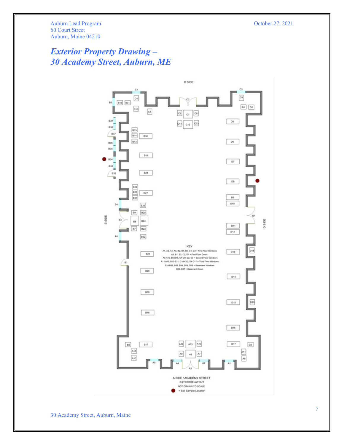## *Exterior Property Drawing – 30 Academy Street, Auburn, ME*

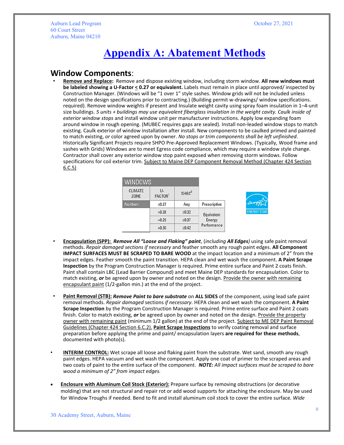Auburn Lead Program **Calculation** Controllering Controllering Controllering Controllering Controllering Controllering Controllering Controllering Controllering Controllering Controllering Controllering Controllering Contro 60 Court Street Auburn, Maine 04210

## **Appendix A: Abatement Methods**

#### **Window Components**:

• **Remove and Replace:** Remove and dispose existing window, including storm window. **All new windows must be labeled showing a U-Factor < 0.27 or equivalent.** Labels must remain in place until approved/ inspected by Construction Manager. (Windows will be "1 over 1" style sashes. Window grids will not be included unless noted on the design specifications prior to contracting.) (Building permit w-drawings/ window specifications. required). Remove window weights if present and Insulate weight cavity using spray foam insulation in 1–4-unit size buildings. *5 units + buildings may use equivalent fiberglass insulation in the weight cavity. Caulk inside of exterior window stops* and install window unit per manufacturer instructions. Apply low expanding foam around window in rough opening. (MUBEC requires gaps are sealed). Install non-leaded window stops to match existing. Caulk exterior of window installation after install. New components to be caulked primed and painted to match existing, *or* color agreed upon by owner. *No stops or trim components shall be left unfinished*. Historically Significant Projects require SHPO Pre-Approved Replacement Windows. (Typically, Wood frame and sashes with Grids) Windows are to meet Egress code compliance, which may require a window style change. Contractor shall cover any exterior window stop paint exposed when removing storm windows. Follow specifications for coil exterior trim. Subject to Maine DEP Component Removal Method (Chapter 424 Section 6.C.5)

| WINDOWS                |                     |                   |                                     |
|------------------------|---------------------|-------------------|-------------------------------------|
| <b>CLIMATE</b><br>ZONE | U-<br><b>FACTOR</b> | SHGC <sup>2</sup> |                                     |
| <b>Northern</b>        | ≤0.27               | Any               | Prescriptive                        |
|                        | $= 0.28$            | $\ge 0.32$        | Equivalent<br>Energy<br>Performance |
|                        | $= 0.29$            | $\ge 0.37$        |                                     |
|                        | $= 0.30$            | $\ge 0.42$        |                                     |

- **Encapsulation (SPP):** *Remove All "Loose and Flaking" paint*, (*including All Edges)* using safe paint removal methods. *Repair damaged sections if necessary* and feather smooth any rough paint edges. **All Component IMPACT SURFACES MUST BE SCRAPED TO BARE WOOD** at the impact location and a minimum of 2" from the impact edges. Feather smooth the paint transition. HEPA clean and wet wash the component. **A Paint Scrape Inspection** by the Program Construction Manager is required. Prime entire surface and Paint 2 coats finish. Paint shall contain LBC (Lead Barrier Compound) and meet Maine DEP standards for encapsulation. Color to match existing, *or* be agreed upon by owner and noted on the design. Provide the owner with remaining encapsulant paint (1/2-gallon min.) at the end of the project.
- **Paint Removal (STB):** *Remove Paint to bare substrate* on **ALL SIDES** of the component, using lead safe paint removal methods. *Repair damaged* sections *if necessary*. HEPA clean and wet wash the component. **A Paint Scrape Inspection** by the Program Construction Manager is required. Prime entire surface and Paint 2 coats finish. Color to match existing, or be agreed upon by owner and noted on the design. Provide the property owner with remaining paint (minimum 1/2 gallon) at the end of the project. Subject to ME DEP Paint Removal Guidelines (Chapter 424 Section 6.C.2). **Paint Scrape Inspections** to verify coating removal and surface preparation before applying the prime and paint/ encapsulation layers **are required for these methods**, documented with photo(s).
- **INTERIM CONTROL:** Wet scrape all loose and flaking paint from the substrate. Wet sand, smooth any rough paint edges. HEPA vacuum and wet wash the component. Apply one coat of primer to the scraped areas and two coats of paint to the entire surface of the component. *NOTE: All impact surfaces must be scraped to bare wood a minimum of 2" from impact edges.*
- **Enclosure with Aluminum Coil Stock (Exterior):** Prepare surface by removing obstructions (or decorative molding) that are not structural and repair rot or add wood supports for attaching the enclosure. May be used for Window Troughs if needed. Bend to fit and install aluminum coil stock to cover the entire surface. *Wide*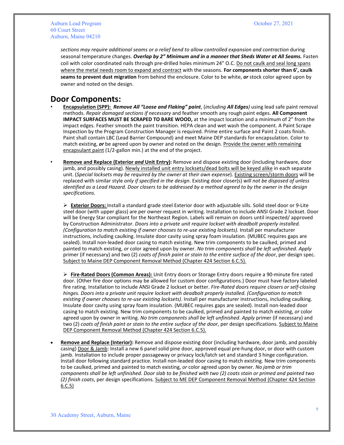*sections may require additional seams or a relief bend to allow controlled expansion and contraction* during seasonal temperature changes. *Overlap by 2" Minimum and in a manner that Sheds Water at All Seams.* Fasten coil with color coordinated nails through pre-drilled holes minimum 24" O.C. Do not caulk and seal long spans where the metal needs room to expand and contract with the seasons. **For components shorter than 6', caulk seams to prevent dust migration** from behind the enclosure. Color to be white, *or* stock color agreed upon by owner and noted on the design.

## **Door Components:**

- **Encapsulation (SPP):** *Remove All "Loose and Flaking" paint*, (*including All Edges)* using lead safe paint removal methods. *Repair damaged sections if necessary* and feather smooth any rough paint edges. **All Component IMPACT SURFACES MUST BE SCRAPED TO BARE WOOD, at the impact location and a minimum of 2" from the** impact edges. Feather smooth the paint transition. HEPA clean and wet wash the component. A Paint Scrape Inspection by the Program Construction Manager is required. Prime entire surface and Paint 2 coats finish. Paint shall contain LBC (Lead Barrier Compound) and meet Maine DEP standards for encapsulation. Color to match existing, *or* be agreed upon by owner and noted on the design. Provide the owner with remaining encapsulant paint (1/2-gallon min.) at the end of the project.
- **Remove and Replace (Exterior** *and* **Unit Entry):** Remove and dispose existing door (including hardware, door jamb, and possibly casing). Newly installed unit entry locksets/dead bolts will be keyed alike in each separate unit. (*Special locksets may be required by the owner at their own expense*). Existing screen/storm doors will be replaced with similar style *only if specified in the design*. Existing door closer(s) *will not be disposed of unless identified as a Lead Hazard. Door closers to be addressed by a method agreed to by the owner in the design specifications.*

 **Exterior Doors:** Install a standard grade steel Exterior door with adjustable sills. Solid steel door or 9-Lite steel door (with upper glass) are per owner request in writing. Installation to include ANSI Grade 2 lockset. Door will be Energy Star compliant for the Northeast Region. Labels will remain on doors until inspected/ approved by Construction Administrator. *Doors into a private unit require lockset with deadbolt properly installed. (Configuration to match existing if owner chooses to re-use existing locksets).* Install per manufacturer instructions, including caulking. Insulate door cavity using spray foam insulation. (MUBEC requires gaps are sealed). Install non-leaded door casing to match existing. New trim components to be caulked, primed and painted to match existing, *or* color agreed upon by owner. *No trim components shall be left unfinished*. *Apply* primer (if necessary) and two (2) *coats of finish paint or stain to the entire surface of the door*, per design spec. Subject to Maine DEP Component Removal Method (Chapter 424 Section 6.C.5).

 **Fire-Rated Doors (Common Areas):** Unit Entry doors or Storage Entry doors require a 90-minute fire rated door. (Other fire door options may be allowed for custom door configurations.) Door must have factory labeled fire rating. Installation to include ANSI Grade 2 lockset or better. *Fire-Rated doors require closers or self-closing hinges. Doors into a private unit require lockset with deadbolt properly installed. (Configuration to match existing if owner chooses to re-use existing locksets)*. Install per manufacturer instructions, including caulking. Insulate door cavity using spray foam insulation. (MUBEC requires gaps are sealed). Install non-leaded door casing to match existing. New trim components to be caulked, primed and painted to match existing, *or* color agreed upon by owner in writing. *No trim components shall be left unfinished*. *Apply* primer (if necessary) and two (2) *coats of finish paint or stain to the entire surface of the door*, per design specifications. Subject to Maine DEP Component Removal Method (Chapter 424 Section 6.C.5).

• **Remove and Replace (Interior):** Remove and dispose existing door (including hardware, door jamb, and possibly casing) Door & Jamb: Install a new 6 panel solid pine door, approved equal pre-hung door, or door with custom jamb. Installation to include proper passageway or privacy lock/latch set and standard 3 hinge configuration. Install door following standard practice. Install non-leaded door casing to match existing. New trim components to be caulked, primed and painted to match existing, *or* color agreed upon by owner. *No jamb or trim components shall be left unfinished*. *Door slab to be finished with two (2) coats stain or primed and painted two (2) finish coats*, per design specifications*.* Subject to ME DEP Component Removal Method (Chapter 424 Section 6.C.5)